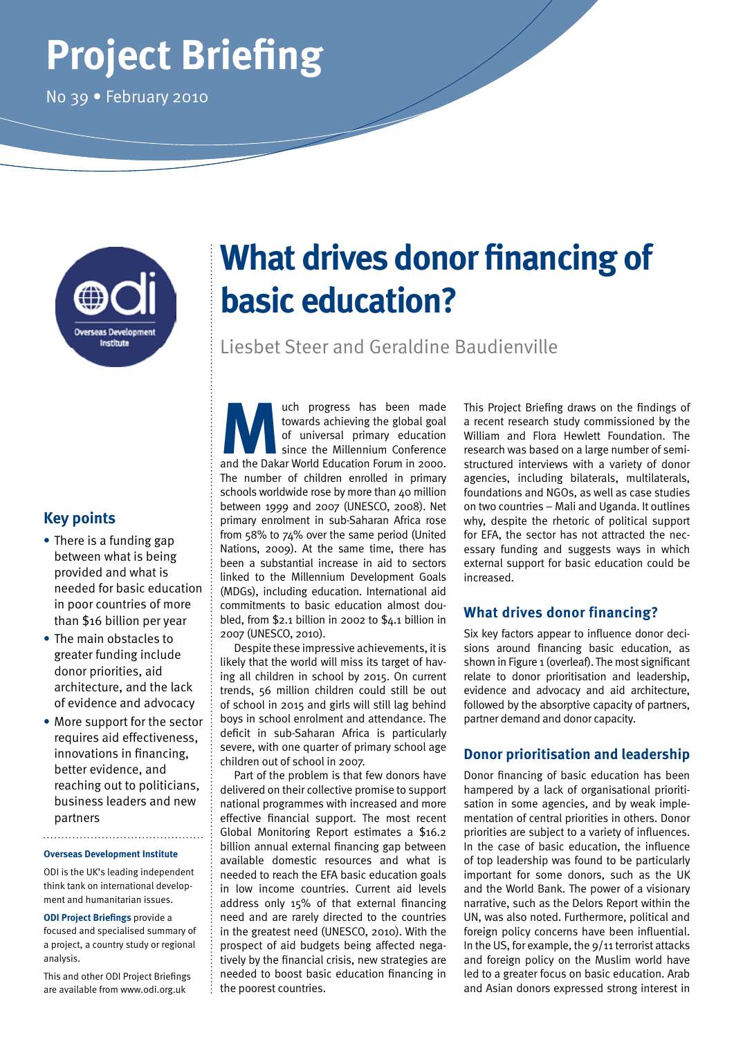# **Project Briefing**

No 39 • February 2010



## **Key points**

- **•** There is a funding gap between what is being provided and what is needed for basic education in poor countries of more than \$16 billion per year
- **•** The main obstacles to greater funding include donor priorities, aid architecture, and the lack of evidence and advocacy
- **•** More support for the sector requires aid effectiveness, innovations in financing, better evidence, and reaching out to politicians, business leaders and new partners

#### **Overseas Development Institute**

ODI is the UK's leading independent think tank on international development and humanitarian issues.

**ODI Project Briefings** provide a focused and specialised summary of a project, a country study or regional analysis.

This and other ODI Project Briefings are available from www.odi.org.uk

## **What drives donor financing of basic education?**

Liesbet Steer and Geraldine Baudienville

**Much progress has been made towards achieving the global goal of universal primary education since the Millennium Conference and the Dakar World Education Forum in 2000.** towards achieving the global goal of universal primary education since the Millennium Conference The number of children enrolled in primary schools worldwide rose by more than 40 million between 1999 and 2007 (UNESCO, 2008). Net primary enrolment in sub-Saharan Africa rose from 58% to 74% over the same period (United Nations, 2009). At the same time, there has been a substantial increase in aid to sectors linked to the Millennium Development Goals (MDGs), including education. International aid commitments to basic education almost doubled, from \$2.1 billion in 2002 to \$4.1 billion in 2007 (UNESCO, 2010).

Despite these impressive achievements, it is likely that the world will miss its target of having all children in school by 2015. On current trends, 56 million children could still be out of school in 2015 and girls will still lag behind boys in school enrolment and attendance. The deficit in sub-Saharan Africa is particularly severe, with one quarter of primary school age children out of school in 2007.

Part of the problem is that few donors have delivered on their collective promise to support national programmes with increased and more effective financial support. The most recent Global Monitoring Report estimates a \$16.2 billion annual external financing gap between available domestic resources and what is needed to reach the EFA basic education goals in low income countries. Current aid levels address only 15% of that external financing need and are rarely directed to the countries in the greatest need (UNESCO, 2010). With the prospect of aid budgets being affected negatively by the financial crisis, new strategies are needed to boost basic education financing in the poorest countries.

This Project Briefing draws on the findings of a recent research study commissioned by the William and Flora Hewlett Foundation. The research was based on a large number of semistructured interviews with a variety of donor agencies, including bilaterals, multilaterals, foundations and NGOs, as well as case studies on two countries – Mali and Uganda. It outlines why, despite the rhetoric of political support for EFA, the sector has not attracted the necessary funding and suggests ways in which external support for basic education could be increased.

## **What drives donor financing?**

Six key factors appear to influence donor decisions around financing basic education, as shown in Figure 1 (overleaf). The most significant relate to donor prioritisation and leadership, evidence and advocacy and aid architecture, followed by the absorptive capacity of partners, partner demand and donor capacity.

## **Donor prioritisation and leadership**

Donor financing of basic education has been hampered by a lack of organisational prioritisation in some agencies, and by weak implementation of central priorities in others. Donor priorities are subject to a variety of influences. In the case of basic education, the influence of top leadership was found to be particularly important for some donors, such as the UK and the World Bank. The power of a visionary narrative, such as the Delors Report within the UN, was also noted. Furthermore, political and foreign policy concerns have been influential. In the US, for example, the 9/11 terrorist attacks and foreign policy on the Muslim world have led to a greater focus on basic education. Arab and Asian donors expressed strong interest in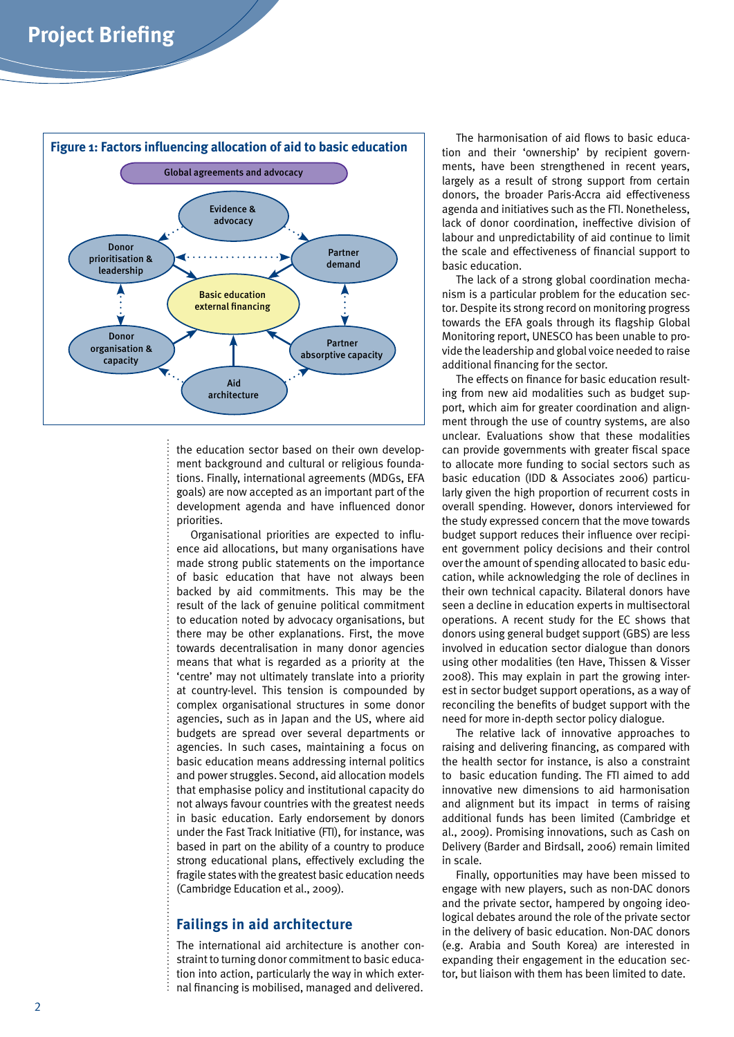

the education sector based on their own development background and cultural or religious foundations. Finally, international agreements (MDGs, EFA goals) are now accepted as an important part of the development agenda and have influenced donor priorities.

Organisational priorities are expected to influence aid allocations, but many organisations have made strong public statements on the importance of basic education that have not always been backed by aid commitments. This may be the result of the lack of genuine political commitment to education noted by advocacy organisations, but there may be other explanations. First, the move towards decentralisation in many donor agencies means that what is regarded as a priority at the 'centre' may not ultimately translate into a priority at country-level. This tension is compounded by complex organisational structures in some donor agencies, such as in Japan and the US, where aid budgets are spread over several departments or agencies. In such cases, maintaining a focus on basic education means addressing internal politics and power struggles. Second, aid allocation models that emphasise policy and institutional capacity do not always favour countries with the greatest needs in basic education. Early endorsement by donors under the Fast Track Initiative (FTI), for instance, was based in part on the ability of a country to produce strong educational plans, effectively excluding the fragile states with the greatest basic education needs (Cambridge Education et al., 2009).

### **Failings in aid architecture**

The international aid architecture is another constraint to turning donor commitment to basic education into action, particularly the way in which external financing is mobilised, managed and delivered.

The harmonisation of aid flows to basic education and their 'ownership' by recipient governments, have been strengthened in recent years, largely as a result of strong support from certain donors, the broader Paris-Accra aid effectiveness agenda and initiatives such as the FTI. Nonetheless, lack of donor coordination, ineffective division of labour and unpredictability of aid continue to limit the scale and effectiveness of financial support to basic education.

The lack of a strong global coordination mechanism is a particular problem for the education sector. Despite its strong record on monitoring progress towards the EFA goals through its flagship Global Monitoring report, UNESCO has been unable to provide the leadership and global voice needed to raise additional financing for the sector.

The effects on finance for basic education resulting from new aid modalities such as budget support, which aim for greater coordination and alignment through the use of country systems, are also unclear. Evaluations show that these modalities can provide governments with greater fiscal space to allocate more funding to social sectors such as basic education (IDD & Associates 2006) particularly given the high proportion of recurrent costs in overall spending. However, donors interviewed for the study expressed concern that the move towards budget support reduces their influence over recipient government policy decisions and their control over the amount of spending allocated to basic education, while acknowledging the role of declines in their own technical capacity. Bilateral donors have seen a decline in education experts in multisectoral operations. A recent study for the EC shows that donors using general budget support (GBS) are less involved in education sector dialogue than donors using other modalities (ten Have, Thissen & Visser 2008). This may explain in part the growing interest in sector budget support operations, as a way of reconciling the benefits of budget support with the need for more in-depth sector policy dialogue.

The relative lack of innovative approaches to raising and delivering financing, as compared with the health sector for instance, is also a constraint to basic education funding. The FTI aimed to add innovative new dimensions to aid harmonisation and alignment but its impact in terms of raising additional funds has been limited (Cambridge et al., 2009). Promising innovations, such as Cash on Delivery (Barder and Birdsall, 2006) remain limited in scale.

Finally, opportunities may have been missed to engage with new players, such as non-DAC donors and the private sector, hampered by ongoing ideological debates around the role of the private sector in the delivery of basic education. Non-DAC donors (e.g. Arabia and South Korea) are interested in expanding their engagement in the education sector, but liaison with them has been limited to date.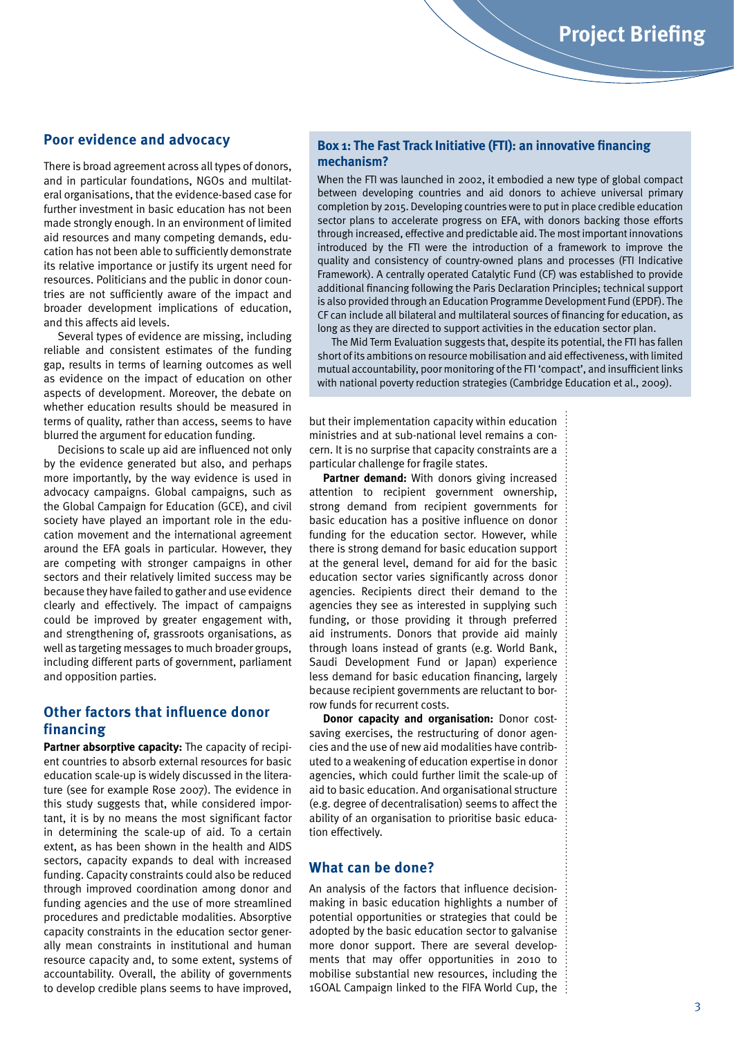#### **Poor evidence and advocacy**

There is broad agreement across all types of donors, and in particular foundations, NGOs and multilateral organisations, that the evidence-based case for further investment in basic education has not been made strongly enough. In an environment of limited aid resources and many competing demands, education has not been able to sufficiently demonstrate its relative importance or justify its urgent need for resources. Politicians and the public in donor countries are not sufficiently aware of the impact and broader development implications of education, and this affects aid levels.

Several types of evidence are missing, including reliable and consistent estimates of the funding gap, results in terms of learning outcomes as well as evidence on the impact of education on other aspects of development. Moreover, the debate on whether education results should be measured in terms of quality, rather than access, seems to have blurred the argument for education funding.

Decisions to scale up aid are influenced not only by the evidence generated but also, and perhaps more importantly, by the way evidence is used in advocacy campaigns. Global campaigns, such as the Global Campaign for Education (GCE), and civil society have played an important role in the education movement and the international agreement around the EFA goals in particular. However, they are competing with stronger campaigns in other sectors and their relatively limited success may be because they have failed to gather and use evidence clearly and effectively. The impact of campaigns could be improved by greater engagement with, and strengthening of, grassroots organisations, as well as targeting messages to much broader groups, including different parts of government, parliament and opposition parties.

## **Other factors that influence donor financing**

**Partner absorptive capacity:** The capacity of recipient countries to absorb external resources for basic education scale-up is widely discussed in the literature (see for example Rose 2007). The evidence in this study suggests that, while considered important, it is by no means the most significant factor in determining the scale-up of aid. To a certain extent, as has been shown in the health and AIDS sectors, capacity expands to deal with increased funding. Capacity constraints could also be reduced through improved coordination among donor and funding agencies and the use of more streamlined procedures and predictable modalities. Absorptive capacity constraints in the education sector generally mean constraints in institutional and human resource capacity and, to some extent, systems of accountability. Overall, the ability of governments to develop credible plans seems to have improved,

#### **Box 1: The Fast Track Initiative (FTI): an innovative financing mechanism?**

When the FTI was launched in 2002, it embodied a new type of global compact between developing countries and aid donors to achieve universal primary completion by 2015. Developing countries were to put in place credible education sector plans to accelerate progress on EFA, with donors backing those efforts through increased, effective and predictable aid. The most important innovations introduced by the FTI were the introduction of a framework to improve the quality and consistency of country-owned plans and processes (FTI Indicative Framework). A centrally operated Catalytic Fund (CF) was established to provide additional financing following the Paris Declaration Principles; technical support is also provided through an Education Programme Development Fund (EPDF). The CF can include all bilateral and multilateral sources of financing for education, as long as they are directed to support activities in the education sector plan.

The Mid Term Evaluation suggests that, despite its potential, the FTI has fallen short of its ambitions on resource mobilisation and aid effectiveness, with limited mutual accountability, poor monitoring of the FTI 'compact', and insufficient links with national poverty reduction strategies (Cambridge Education et al., 2009).

but their implementation capacity within education ministries and at sub-national level remains a concern. It is no surprise that capacity constraints are a particular challenge for fragile states.

**Partner demand:** With donors giving increased attention to recipient government ownership, strong demand from recipient governments for basic education has a positive influence on donor funding for the education sector. However, while there is strong demand for basic education support at the general level, demand for aid for the basic education sector varies significantly across donor agencies. Recipients direct their demand to the agencies they see as interested in supplying such funding, or those providing it through preferred aid instruments. Donors that provide aid mainly through loans instead of grants (e.g. World Bank, Saudi Development Fund or Japan) experience less demand for basic education financing, largely because recipient governments are reluctant to borrow funds for recurrent costs.

**Donor capacity and organisation:** Donor costsaving exercises, the restructuring of donor agencies and the use of new aid modalities have contributed to a weakening of education expertise in donor agencies, which could further limit the scale-up of aid to basic education. And organisational structure (e.g. degree of decentralisation) seems to affect the ability of an organisation to prioritise basic education effectively.

#### **What can be done?**

An analysis of the factors that influence decisionmaking in basic education highlights a number of potential opportunities or strategies that could be adopted by the basic education sector to galvanise more donor support. There are several developments that may offer opportunities in 2010 to mobilise substantial new resources, including the 1GOAL Campaign linked to the FIFA World Cup, the  $\frac{1}{2}$